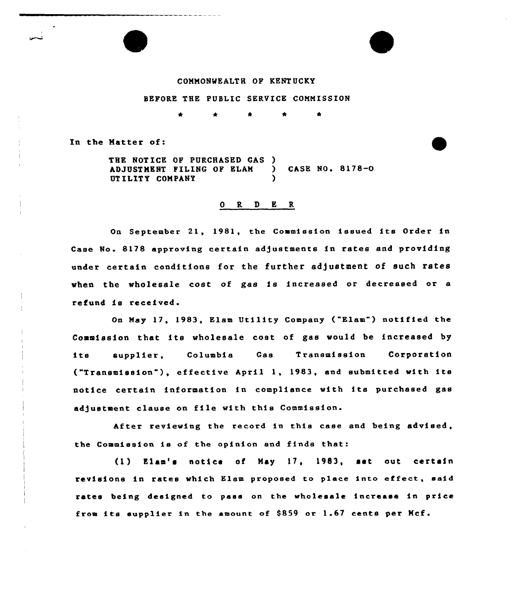## COMMONWEALTH OF KENTUCKY

## BEFORE THE PUBLIC SERVICE COMMISSION

In the Matter of:

THE NOTICE OF PURCHASED GAS )<br>ADJUSTMENT FILING OF ELAM ) ADJUSTMENT FILING OF ELAM ) CASE NO. 8178-0 UTILITY COMPANY

## 0 R <sup>D</sup> E R

On September 21, 1981, the Commission issued its Order in Case No. 8178 approving certain adjustments in rates and providing under certain conditions for the further adjustment of such rates when the wholesale cost of gas is increased or decreased or a refund is received.

On May 17, 1983, Elam Utility Company ("Elam") notified the Commission that its wholesale cost of gas would be increased by its supplier, Columbia Gas Transmission Corporatio ("Transmission"), effective April 1, 1983, and submitted with its notice certain information in compliance with its purchased gas adjustment clause on file with this Commission.

After reviewing the record in this case and being advised. the Commission is of the opinion and finds that:

(1) Elam's notice of May 17, 1983, set out certain revisions in rates which Elam proposed to place into effect, said rates being designed to pass on the wholesale increase in price from its supplier in the amount of  $$859$  or 1.67 cents per Mcf.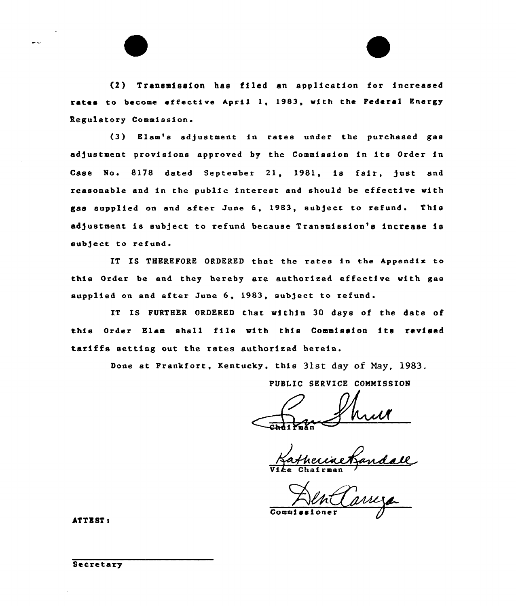(2} Transmission has filed an application for increased rates to become effective April 1, 1983, with the Federal Energy Regulatory Commission.

(3) Elam's adjustment in rates under the purchased ges adjustment provisions approved by the Commission in its Order in Case No. 8178 dated September 21, 1981, is fair, just and reasonable and in the pub1ic interest and should be effective mith gss supplied on and after June 6, 1983, subject to refund. This adjustment is subject to refund because Transmission's increase is subject to refund.

IT IS THEREPORE ORDERED that the rates in the hppendix to this Order be and they hereby are authorized effective with gas supplied on and after June 6, 1983, subject to refund.

IT IS FURTHER ORDERED that within 30 days of the date of this Order Slam shall file with this Commission its revised tariffs setting out the rates authorized herein.

Done at Prankfort, Kentucky, this 31st day of May, 1983.

PUBLIC SERVICE COMMISSION

n

Vike Chairman

Commi

ATTEST:

**Secretary**